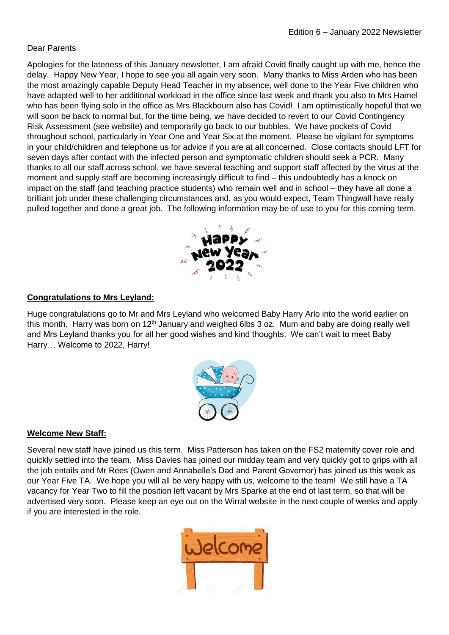### Dear Parents

Apologies for the lateness of this January newsletter, I am afraid Covid finally caught up with me, hence the delay. Happy New Year, I hope to see you all again very soon. Many thanks to Miss Arden who has been the most amazingly capable Deputy Head Teacher in my absence, well done to the Year Five children who have adapted well to her additional workload in the office since last week and thank you also to Mrs Hamel who has been flying solo in the office as Mrs Blackbourn also has Covid! I am optimistically hopeful that we will soon be back to normal but, for the time being, we have decided to revert to our Covid Contingency Risk Assessment (see website) and temporarily go back to our bubbles. We have pockets of Covid throughout school, particularly in Year One and Year Six at the moment. Please be vigilant for symptoms in your child/children and telephone us for advice if you are at all concerned. Close contacts should LFT for seven days after contact with the infected person and symptomatic children should seek a PCR. Many thanks to all our staff across school, we have several teaching and support staff affected by the virus at the moment and supply staff are becoming increasingly difficult to find – this undoubtedly has a knock on impact on the staff (and teaching practice students) who remain well and in school – they have all done a brilliant job under these challenging circumstances and, as you would expect, Team Thingwall have really pulled together and done a great job. The following information may be of use to you for this coming term.



#### **Congratulations to Mrs Leyland:**

Huge congratulations go to Mr and Mrs Leyland who welcomed Baby Harry Arlo into the world earlier on this month. Harry was born on 12<sup>th</sup> January and weighed 6lbs 3 oz. Mum and baby are doing really well and Mrs Leyland thanks you for all her good wishes and kind thoughts. We can't wait to meet Baby Harry… Welcome to 2022, Harry!



# **Welcome New Staff:**

Several new staff have joined us this term. Miss Patterson has taken on the FS2 maternity cover role and quickly settled into the team. Miss Davies has joined our midday team and very quickly got to grips with all the job entails and Mr Rees (Owen and Annabelle's Dad and Parent Governor) has joined us this week as our Year Five TA. We hope you will all be very happy with us, welcome to the team! We still have a TA vacancy for Year Two to fill the position left vacant by Mrs Sparke at the end of last term, so that will be advertised very soon. Please keep an eye out on the Wirral website in the next couple of weeks and apply if you are interested in the role.

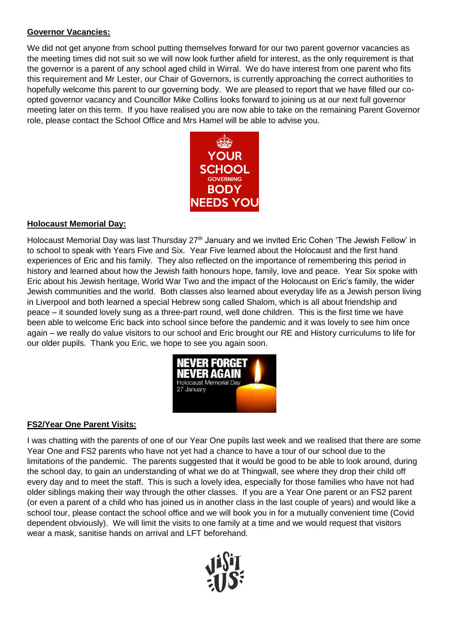### **Governor Vacancies:**

We did not get anyone from school putting themselves forward for our two parent governor vacancies as the meeting times did not suit so we will now look further afield for interest, as the only requirement is that the governor is a parent of any school aged child in Wirral. We do have interest from one parent who fits this requirement and Mr Lester, our Chair of Governors, is currently approaching the correct authorities to hopefully welcome this parent to our governing body. We are pleased to report that we have filled our coopted governor vacancy and Councillor Mike Collins looks forward to joining us at our next full governor meeting later on this term. If you have realised you are now able to take on the remaining Parent Governor role, please contact the School Office and Mrs Hamel will be able to advise you.



#### **Holocaust Memorial Day:**

Holocaust Memorial Day was last Thursday 27<sup>th</sup> January and we invited Eric Cohen 'The Jewish Fellow' in to school to speak with Years Five and Six. Year Five learned about the Holocaust and the first hand experiences of Eric and his family. They also reflected on the importance of remembering this period in history and learned about how the Jewish faith honours hope, family, love and peace. Year Six spoke with Eric about his Jewish heritage, World War Two and the impact of the Holocaust on Eric's family, the wider Jewish communities and the world. Both classes also learned about everyday life as a Jewish person living in Liverpool and both learned a special Hebrew song called Shalom, which is all about friendship and peace – it sounded lovely sung as a three-part round, well done children. This is the first time we have been able to welcome Eric back into school since before the pandemic and it was lovely to see him once again – we really do value visitors to our school and Eric brought our RE and History curriculums to life for our older pupils. Thank you Eric, we hope to see you again soon.



# **FS2/Year One Parent Visits:**

I was chatting with the parents of one of our Year One pupils last week and we realised that there are some Year One and FS2 parents who have not yet had a chance to have a tour of our school due to the limitations of the pandemic. The parents suggested that it would be good to be able to look around, during the school day, to gain an understanding of what we do at Thingwall, see where they drop their child off every day and to meet the staff. This is such a lovely idea, especially for those families who have not had older siblings making their way through the other classes. If you are a Year One parent or an FS2 parent (or even a parent of a child who has joined us in another class in the last couple of years) and would like a school tour, please contact the school office and we will book you in for a mutually convenient time (Covid dependent obviously). We will limit the visits to one family at a time and we would request that visitors wear a mask, sanitise hands on arrival and LFT beforehand.

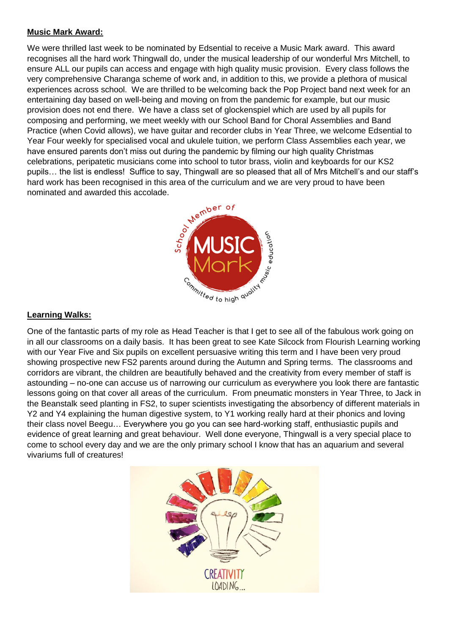#### **Music Mark Award:**

We were thrilled last week to be nominated by Edsential to receive a Music Mark award. This award recognises all the hard work Thingwall do, under the musical leadership of our wonderful Mrs Mitchell, to ensure ALL our pupils can access and engage with high quality music provision. Every class follows the very comprehensive Charanga scheme of work and, in addition to this, we provide a plethora of musical experiences across school. We are thrilled to be welcoming back the Pop Project band next week for an entertaining day based on well-being and moving on from the pandemic for example, but our music provision does not end there. We have a class set of glockenspiel which are used by all pupils for composing and performing, we meet weekly with our School Band for Choral Assemblies and Band Practice (when Covid allows), we have guitar and recorder clubs in Year Three, we welcome Edsential to Year Four weekly for specialised vocal and ukulele tuition, we perform Class Assemblies each year, we have ensured parents don't miss out during the pandemic by filming our high quality Christmas celebrations, peripatetic musicians come into school to tutor brass, violin and keyboards for our KS2 pupils… the list is endless! Suffice to say, Thingwall are so pleased that all of Mrs Mitchell's and our staff's hard work has been recognised in this area of the curriculum and we are very proud to have been<br>nominated and awarded this accolade. nominated and awarded this accolade.



### **Learning Walks:**

One of the fantastic parts of my role as Head Teacher is that I get to see all of the fabulous work going on in all our classrooms on a daily basis. It has been great to see Kate Silcock from Flourish Learning working with our Year Five and Six pupils on excellent persuasive writing this term and I have been very proud showing prospective new FS2 parents around during the Autumn and Spring terms. The classrooms and corridors are vibrant, the children are beautifully behaved and the creativity from every member of staff is astounding – no-one can accuse us of narrowing our curriculum as everywhere you look there are fantastic lessons going on that cover all areas of the curriculum. From pneumatic monsters in Year Three, to Jack in the Beanstalk seed planting in FS2, to super scientists investigating the absorbency of different materials in Y2 and Y4 explaining the human digestive system, to Y1 working really hard at their phonics and loving their class novel Beegu… Everywhere you go you can see hard-working staff, enthusiastic pupils and evidence of great learning and great behaviour. Well done everyone, Thingwall is a very special place to come to school every day and we are the only primary school I know that has an aquarium and several vivariums full of creatures!

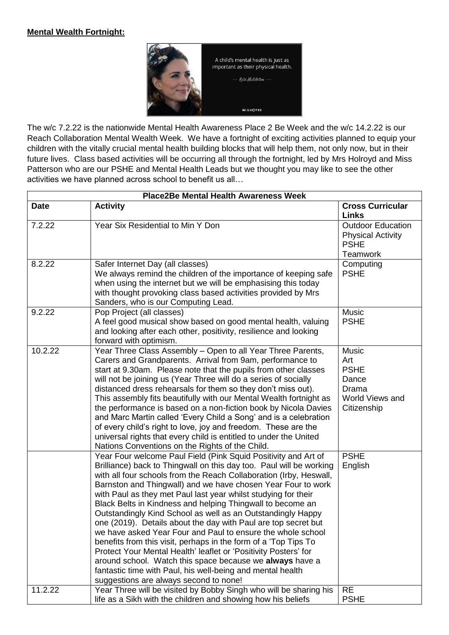#### **Mental Wealth Fortnight:**



The w/c 7.2.22 is the nationwide Mental Health Awareness Place 2 Be Week and the w/c 14.2.22 is our Reach Collaboration Mental Wealth Week. We have a fortnight of exciting activities planned to equip your children with the vitally crucial mental health building blocks that will help them, not only now, but in their future lives. Class based activities will be occurring all through the fortnight, led by Mrs Holroyd and Miss Patterson who are our PSHE and Mental Health Leads but we thought you may like to see the other activities we have planned across school to benefit us all…

| <b>Place2Be Mental Health Awareness Week</b> |                                                                                                                                                                                                                                                                                                                                                                                                                                                                                                                                                                                                                                                                                                                                                                                                                                                                                                                       |                                                                                        |  |
|----------------------------------------------|-----------------------------------------------------------------------------------------------------------------------------------------------------------------------------------------------------------------------------------------------------------------------------------------------------------------------------------------------------------------------------------------------------------------------------------------------------------------------------------------------------------------------------------------------------------------------------------------------------------------------------------------------------------------------------------------------------------------------------------------------------------------------------------------------------------------------------------------------------------------------------------------------------------------------|----------------------------------------------------------------------------------------|--|
| <b>Date</b>                                  | <b>Activity</b>                                                                                                                                                                                                                                                                                                                                                                                                                                                                                                                                                                                                                                                                                                                                                                                                                                                                                                       | <b>Cross Curricular</b><br><b>Links</b>                                                |  |
| 7.2.22                                       | Year Six Residential to Min Y Don                                                                                                                                                                                                                                                                                                                                                                                                                                                                                                                                                                                                                                                                                                                                                                                                                                                                                     | <b>Outdoor Education</b><br><b>Physical Activity</b><br><b>PSHE</b><br>Teamwork        |  |
| 8.2.22                                       | Safer Internet Day (all classes)<br>We always remind the children of the importance of keeping safe<br>when using the internet but we will be emphasising this today<br>with thought provoking class based activities provided by Mrs<br>Sanders, who is our Computing Lead.                                                                                                                                                                                                                                                                                                                                                                                                                                                                                                                                                                                                                                          | Computing<br><b>PSHE</b>                                                               |  |
| 9.2.22                                       | Pop Project (all classes)<br>A feel good musical show based on good mental health, valuing<br>and looking after each other, positivity, resilience and looking<br>forward with optimism.                                                                                                                                                                                                                                                                                                                                                                                                                                                                                                                                                                                                                                                                                                                              | Music<br><b>PSHE</b>                                                                   |  |
| 10.2.22                                      | Year Three Class Assembly - Open to all Year Three Parents,<br>Carers and Grandparents. Arrival from 9am, performance to<br>start at 9.30am. Please note that the pupils from other classes<br>will not be joining us (Year Three will do a series of socially<br>distanced dress rehearsals for them so they don't miss out).<br>This assembly fits beautifully with our Mental Wealth fortnight as<br>the performance is based on a non-fiction book by Nicola Davies<br>and Marc Martin called 'Every Child a Song' and is a celebration<br>of every child's right to love, joy and freedom. These are the<br>universal rights that every child is entitled to under the United<br>Nations Conventions on the Rights of the Child.                                                                                                                                                                                 | <b>Music</b><br>Art<br><b>PSHE</b><br>Dance<br>Drama<br>World Views and<br>Citizenship |  |
|                                              | Year Four welcome Paul Field (Pink Squid Positivity and Art of<br>Brilliance) back to Thingwall on this day too. Paul will be working<br>with all four schools from the Reach Collaboration (Irby, Heswall,<br>Barnston and Thingwall) and we have chosen Year Four to work<br>with Paul as they met Paul last year whilst studying for their<br>Black Belts in Kindness and helping Thingwall to become an<br>Outstandingly Kind School as well as an Outstandingly Happy<br>one (2019). Details about the day with Paul are top secret but<br>we have asked Year Four and Paul to ensure the whole school<br>benefits from this visit, perhaps in the form of a 'Top Tips To<br>Protect Your Mental Health' leaflet or 'Positivity Posters' for<br>around school. Watch this space because we always have a<br>fantastic time with Paul, his well-being and mental health<br>suggestions are always second to none! | <b>PSHE</b><br>English                                                                 |  |
| 11.2.22                                      | Year Three will be visited by Bobby Singh who will be sharing his<br>life as a Sikh with the children and showing how his beliefs                                                                                                                                                                                                                                                                                                                                                                                                                                                                                                                                                                                                                                                                                                                                                                                     | <b>RE</b><br><b>PSHE</b>                                                               |  |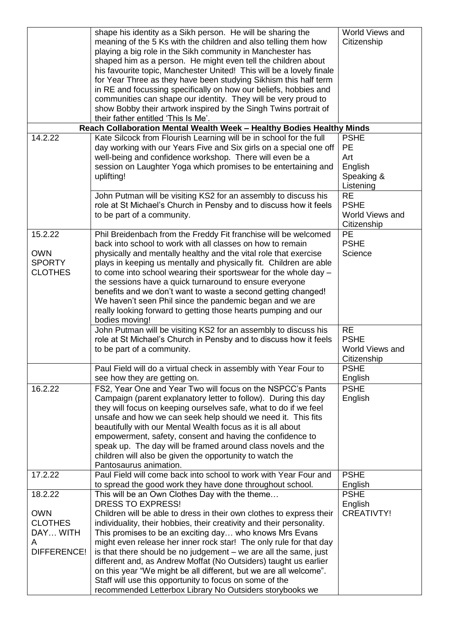|                                                                         | shape his identity as a Sikh person. He will be sharing the<br>meaning of the 5 Ks with the children and also telling them how<br>playing a big role in the Sikh community in Manchester has<br>shaped him as a person. He might even tell the children about<br>his favourite topic, Manchester United! This will be a lovely finale<br>for Year Three as they have been studying Sikhism this half term<br>in RE and focussing specifically on how our beliefs, hobbies and<br>communities can shape our identity. They will be very proud to<br>show Bobby their artwork inspired by the Singh Twins portrait of<br>their father entitled 'This Is Me'.                                       | World Views and<br>Citizenship                                              |
|-------------------------------------------------------------------------|--------------------------------------------------------------------------------------------------------------------------------------------------------------------------------------------------------------------------------------------------------------------------------------------------------------------------------------------------------------------------------------------------------------------------------------------------------------------------------------------------------------------------------------------------------------------------------------------------------------------------------------------------------------------------------------------------|-----------------------------------------------------------------------------|
|                                                                         | Reach Collaboration Mental Wealth Week - Healthy Bodies Healthy Minds                                                                                                                                                                                                                                                                                                                                                                                                                                                                                                                                                                                                                            |                                                                             |
| 14.2.22                                                                 | Kate Silcock from Flourish Learning will be in school for the full<br>day working with our Years Five and Six girls on a special one off<br>well-being and confidence workshop. There will even be a<br>session on Laughter Yoga which promises to be entertaining and<br>uplifting!<br>John Putman will be visiting KS2 for an assembly to discuss his                                                                                                                                                                                                                                                                                                                                          | <b>PSHE</b><br>PE<br>Art<br>English<br>Speaking &<br>Listening<br><b>RE</b> |
|                                                                         | role at St Michael's Church in Pensby and to discuss how it feels<br>to be part of a community.                                                                                                                                                                                                                                                                                                                                                                                                                                                                                                                                                                                                  | <b>PSHE</b><br>World Views and<br>Citizenship                               |
| 15.2.22<br><b>OWN</b><br><b>SPORTY</b><br><b>CLOTHES</b>                | Phil Breidenbach from the Freddy Fit franchise will be welcomed<br>back into school to work with all classes on how to remain<br>physically and mentally healthy and the vital role that exercise<br>plays in keeping us mentally and physically fit. Children are able<br>to come into school wearing their sportswear for the whole day -<br>the sessions have a quick turnaround to ensure everyone<br>benefits and we don't want to waste a second getting changed!<br>We haven't seen Phil since the pandemic began and we are<br>really looking forward to getting those hearts pumping and our<br>bodies moving!                                                                          | PE<br><b>PSHE</b><br>Science                                                |
|                                                                         | John Putman will be visiting KS2 for an assembly to discuss his<br>role at St Michael's Church in Pensby and to discuss how it feels<br>to be part of a community.                                                                                                                                                                                                                                                                                                                                                                                                                                                                                                                               | <b>RE</b><br><b>PSHE</b><br>World Views and<br>Citizenship                  |
|                                                                         | Paul Field will do a virtual check in assembly with Year Four to<br>see how they are getting on.                                                                                                                                                                                                                                                                                                                                                                                                                                                                                                                                                                                                 | <b>PSHE</b><br>English                                                      |
| 16.2.22                                                                 | FS2, Year One and Year Two will focus on the NSPCC's Pants<br>Campaign (parent explanatory letter to follow). During this day<br>they will focus on keeping ourselves safe, what to do if we feel<br>unsafe and how we can seek help should we need it. This fits<br>beautifully with our Mental Wealth focus as it is all about<br>empowerment, safety, consent and having the confidence to<br>speak up. The day will be framed around class novels and the<br>children will also be given the opportunity to watch the<br>Pantosaurus animation.                                                                                                                                              | <b>PSHE</b><br>English                                                      |
| 17.2.22                                                                 | Paul Field will come back into school to work with Year Four and<br>to spread the good work they have done throughout school.                                                                                                                                                                                                                                                                                                                                                                                                                                                                                                                                                                    | <b>PSHE</b><br>English                                                      |
| 18.2.22<br><b>OWN</b><br><b>CLOTHES</b><br>DAY WITH<br>A<br>DIFFERENCE! | This will be an Own Clothes Day with the theme<br><b>DRESS TO EXPRESS!</b><br>Children will be able to dress in their own clothes to express their<br>individuality, their hobbies, their creativity and their personality.<br>This promises to be an exciting day who knows Mrs Evans<br>might even release her inner rock star! The only rule for that day<br>is that there should be no judgement – we are all the same, just<br>different and, as Andrew Moffat (No Outsiders) taught us earlier<br>on this year "We might be all different, but we are all welcome".<br>Staff will use this opportunity to focus on some of the<br>recommended Letterbox Library No Outsiders storybooks we | <b>PSHE</b><br>English<br><b>CREATIVTY!</b>                                 |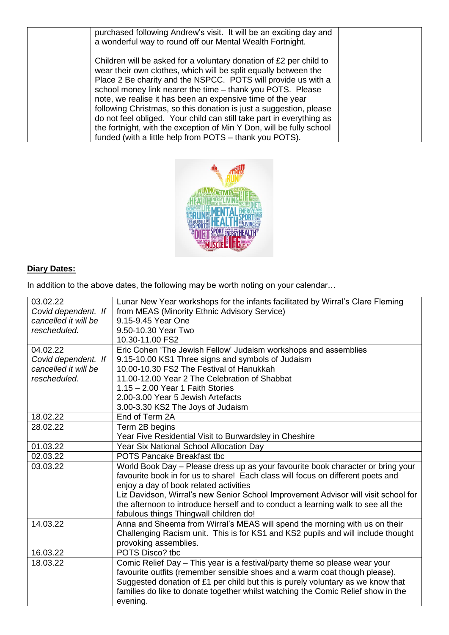| purchased following Andrew's visit. It will be an exciting day and<br>a wonderful way to round off our Mental Wealth Fortnight.                                                                                                                                                                                                                                                                                                                                                                                                                                                                                     |  |
|---------------------------------------------------------------------------------------------------------------------------------------------------------------------------------------------------------------------------------------------------------------------------------------------------------------------------------------------------------------------------------------------------------------------------------------------------------------------------------------------------------------------------------------------------------------------------------------------------------------------|--|
| Children will be asked for a voluntary donation of £2 per child to<br>wear their own clothes, which will be split equally between the<br>Place 2 Be charity and the NSPCC. POTS will provide us with a<br>school money link nearer the time - thank you POTS. Please<br>note, we realise it has been an expensive time of the year<br>following Christmas, so this donation is just a suggestion, please<br>do not feel obliged. Your child can still take part in everything as<br>the fortnight, with the exception of Min Y Don, will be fully school<br>funded (with a little help from POTS – thank you POTS). |  |



# **Diary Dates:**

In addition to the above dates, the following may be worth noting on your calendar...

| 03.02.22             | Lunar New Year workshops for the infants facilitated by Wirral's Clare Fleming     |
|----------------------|------------------------------------------------------------------------------------|
| Covid dependent. If  | from MEAS (Minority Ethnic Advisory Service)                                       |
| cancelled it will be | 9.15-9.45 Year One                                                                 |
| rescheduled.         | 9.50-10.30 Year Two                                                                |
|                      | 10.30-11.00 FS2                                                                    |
| 04.02.22             | Eric Cohen 'The Jewish Fellow' Judaism workshops and assemblies                    |
| Covid dependent. If  | 9.15-10.00 KS1 Three signs and symbols of Judaism                                  |
| cancelled it will be | 10.00-10.30 FS2 The Festival of Hanukkah                                           |
| rescheduled.         | 11.00-12.00 Year 2 The Celebration of Shabbat                                      |
|                      | $1.15 - 2.00$ Year 1 Faith Stories                                                 |
|                      | 2.00-3.00 Year 5 Jewish Artefacts                                                  |
|                      | 3.00-3.30 KS2 The Joys of Judaism                                                  |
| 18.02.22             | End of Term 2A                                                                     |
| 28.02.22             | Term 2B begins                                                                     |
|                      | Year Five Residential Visit to Burwardsley in Cheshire                             |
| 01.03.22             | Year Six National School Allocation Day                                            |
| 02.03.22             | <b>POTS Pancake Breakfast tbc</b>                                                  |
| 03.03.22             | World Book Day - Please dress up as your favourite book character or bring your    |
|                      | favourite book in for us to share! Each class will focus on different poets and    |
|                      | enjoy a day of book related activities                                             |
|                      | Liz Davidson, Wirral's new Senior School Improvement Advisor will visit school for |
|                      | the afternoon to introduce herself and to conduct a learning walk to see all the   |
|                      | fabulous things Thingwall children do!                                             |
| 14.03.22             | Anna and Sheema from Wirral's MEAS will spend the morning with us on their         |
|                      | Challenging Racism unit. This is for KS1 and KS2 pupils and will include thought   |
|                      | provoking assemblies.                                                              |
| 16.03.22             | POTS Disco? tbc                                                                    |
| 18.03.22             | Comic Relief Day - This year is a festival/party theme so please wear your         |
|                      | favourite outfits (remember sensible shoes and a warm coat though please).         |
|                      | Suggested donation of £1 per child but this is purely voluntary as we know that    |
|                      | families do like to donate together whilst watching the Comic Relief show in the   |
|                      | evening.                                                                           |
|                      |                                                                                    |